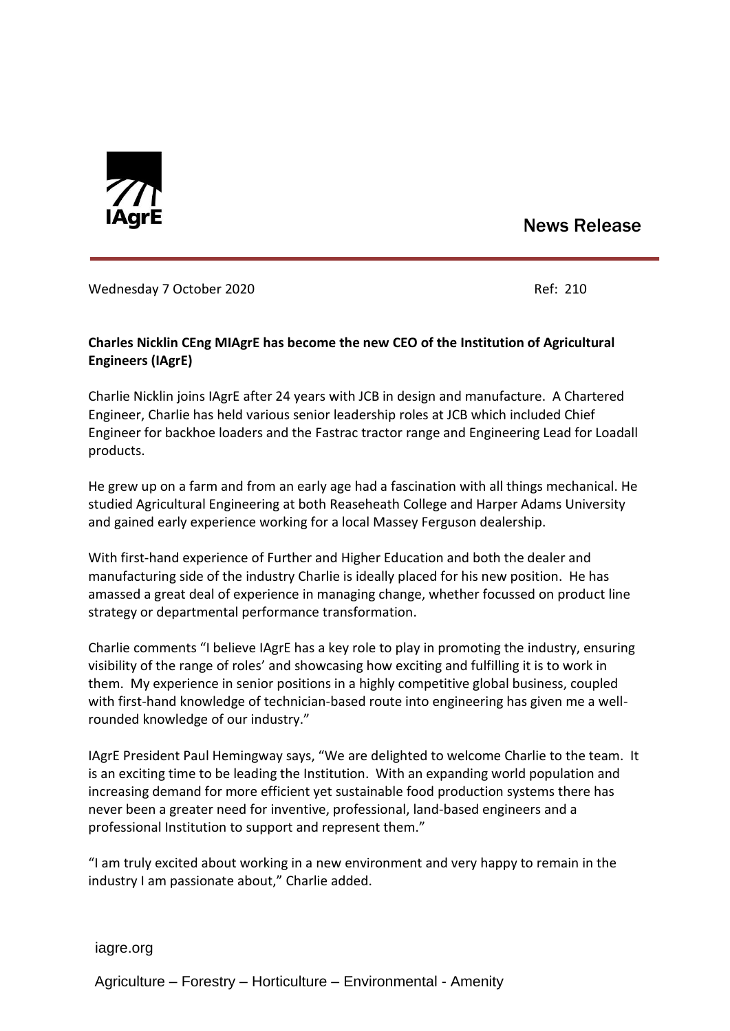

## News Release

## Wednesday 7 October 2020 Ref: 210

## **Charles Nicklin CEng MIAgrE has become the new CEO of the Institution of Agricultural Engineers (IAgrE)**

Charlie Nicklin joins IAgrE after 24 years with JCB in design and manufacture. A Chartered Engineer, Charlie has held various senior leadership roles at JCB which included Chief Engineer for backhoe loaders and the Fastrac tractor range and Engineering Lead for Loadall products.

He grew up on a farm and from an early age had a fascination with all things mechanical. He studied Agricultural Engineering at both Reaseheath College and Harper Adams University and gained early experience working for a local Massey Ferguson dealership.

With first-hand experience of Further and Higher Education and both the dealer and manufacturing side of the industry Charlie is ideally placed for his new position. He has amassed a great deal of experience in managing change, whether focussed on product line strategy or departmental performance transformation.

Charlie comments "I believe IAgrE has a key role to play in promoting the industry, ensuring visibility of the range of roles' and showcasing how exciting and fulfilling it is to work in them. My experience in senior positions in a highly competitive global business, coupled with first-hand knowledge of technician-based route into engineering has given me a wellrounded knowledge of our industry."

IAgrE President Paul Hemingway says, "We are delighted to welcome Charlie to the team. It is an exciting time to be leading the Institution. With an expanding world population and increasing demand for more efficient yet sustainable food production systems there has never been a greater need for inventive, professional, land-based engineers and a professional Institution to support and represent them."

"I am truly excited about working in a new environment and very happy to remain in the industry I am passionate about," Charlie added.

iagre.org

Agriculture – Forestry – Horticulture – Environmental - Amenity